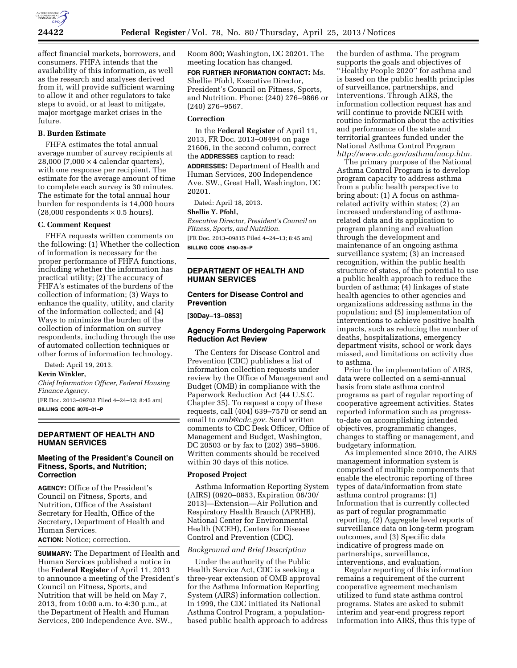

affect financial markets, borrowers, and consumers. FHFA intends that the availability of this information, as well as the research and analyses derived from it, will provide sufficient warning to allow it and other regulators to take steps to avoid, or at least to mitigate, major mortgage market crises in the future.

# **B. Burden Estimate**

FHFA estimates the total annual average number of survey recipients at 28,000 (7,000  $\times$  4 calendar quarters), with one response per recipient. The estimate for the average amount of time to complete each survey is 30 minutes. The estimate for the total annual hour burden for respondents is 14,000 hours  $(28,000$  respondents  $\times$  0.5 hours).

# **C. Comment Request**

FHFA requests written comments on the following: (1) Whether the collection of information is necessary for the proper performance of FHFA functions, including whether the information has practical utility; (2) The accuracy of FHFA's estimates of the burdens of the collection of information; (3) Ways to enhance the quality, utility, and clarity of the information collected; and (4) Ways to minimize the burden of the collection of information on survey respondents, including through the use of automated collection techniques or other forms of information technology.

Dated: April 19, 2013.

#### **Kevin Winkler,**

*Chief Information Officer, Federal Housing Finance Agency.* 

[FR Doc. 2013–09702 Filed 4–24–13; 8:45 am] **BILLING CODE 8070–01–P** 

### **DEPARTMENT OF HEALTH AND HUMAN SERVICES**

# **Meeting of the President's Council on Fitness, Sports, and Nutrition; Correction**

**AGENCY:** Office of the President's Council on Fitness, Sports, and Nutrition, Office of the Assistant Secretary for Health, Office of the Secretary, Department of Health and Human Services.

**ACTION:** Notice; correction.

**SUMMARY:** The Department of Health and Human Services published a notice in the **Federal Register** of April 11, 2013 to announce a meeting of the President's Council on Fitness, Sports, and Nutrition that will be held on May 7, 2013, from 10:00 a.m. to 4:30 p.m., at the Department of Health and Human Services, 200 Independence Ave. SW.,

Room 800; Washington, DC 20201. The meeting location has changed.

**FOR FURTHER INFORMATION CONTACT:** Ms. Shellie Pfohl, Executive Director, President's Council on Fitness, Sports, and Nutrition. Phone: (240) 276–9866 or (240) 276–9567.

## **Correction**

In the **Federal Register** of April 11, 2013, FR Doc. 2013–08494 on page 21606, in the second column, correct the **ADDRESSES** caption to read:

**ADDRESSES:** Department of Health and Human Services, 200 Independence Ave. SW., Great Hall, Washington, DC 20201.

Dated: April 18, 2013.

#### **Shellie Y. Pfohl,**

*Executive Director, President's Council on Fitness, Sports, and Nutrition.* 

[FR Doc. 2013–09815 Filed 4–24–13; 8:45 am] **BILLING CODE 4150–35–P** 

# **DEPARTMENT OF HEALTH AND HUMAN SERVICES**

## **Centers for Disease Control and Prevention**

**[30Day–13–0853]** 

# **Agency Forms Undergoing Paperwork Reduction Act Review**

The Centers for Disease Control and Prevention (CDC) publishes a list of information collection requests under review by the Office of Management and Budget (OMB) in compliance with the Paperwork Reduction Act (44 U.S.C. Chapter 35). To request a copy of these requests, call (404) 639–7570 or send an email to *[omb@cdc.gov.](mailto:omb@cdc.gov)* Send written comments to CDC Desk Officer, Office of Management and Budget, Washington, DC 20503 or by fax to (202) 395–5806. Written comments should be received within 30 days of this notice.

#### **Proposed Project**

Asthma Information Reporting System (AIRS) (0920–0853, Expiration 06/30/ 2013)—Extension—Air Pollution and Respiratory Health Branch (APRHB), National Center for Environmental Health (NCEH), Centers for Disease Control and Prevention (CDC).

## *Background and Brief Description*

Under the authority of the Public Health Service Act, CDC is seeking a three-year extension of OMB approval for the Asthma Information Reporting System (AIRS) information collection. In 1999, the CDC initiated its National Asthma Control Program, a populationbased public health approach to address

the burden of asthma. The program supports the goals and objectives of ''Healthy People 2020'' for asthma and is based on the public health principles of surveillance, partnerships, and interventions. Through AIRS, the information collection request has and will continue to provide NCEH with routine information about the activities and performance of the state and territorial grantees funded under the National Asthma Control Program *[http://www.cdc.gov/asthma/nacp.htm.](http://www.cdc.gov/asthma/nacp.htm)* 

The primary purpose of the National Asthma Control Program is to develop program capacity to address asthma from a public health perspective to bring about: (1) A focus on asthmarelated activity within states; (2) an increased understanding of asthmarelated data and its application to program planning and evaluation through the development and maintenance of an ongoing asthma surveillance system; (3) an increased recognition, within the public health structure of states, of the potential to use a public health approach to reduce the burden of asthma; (4) linkages of state health agencies to other agencies and organizations addressing asthma in the population; and (5) implementation of interventions to achieve positive health impacts, such as reducing the number of deaths, hospitalizations, emergency department visits, school or work days missed, and limitations on activity due to asthma.

Prior to the implementation of AIRS, data were collected on a semi-annual basis from state asthma control programs as part of regular reporting of cooperative agreement activities. States reported information such as progressto-date on accomplishing intended objectives, programmatic changes, changes to staffing or management, and budgetary information.

As implemented since 2010, the AIRS management information system is comprised of multiple components that enable the electronic reporting of three types of data/information from state asthma control programs: (1) Information that is currently collected as part of regular programmatic reporting, (2) Aggregate level reports of surveillance data on long-term program outcomes, and (3) Specific data indicative of progress made on partnerships, surveillance, interventions, and evaluation.

Regular reporting of this information remains a requirement of the current cooperative agreement mechanism utilized to fund state asthma control programs. States are asked to submit interim and year-end progress report information into AIRS, thus this type of